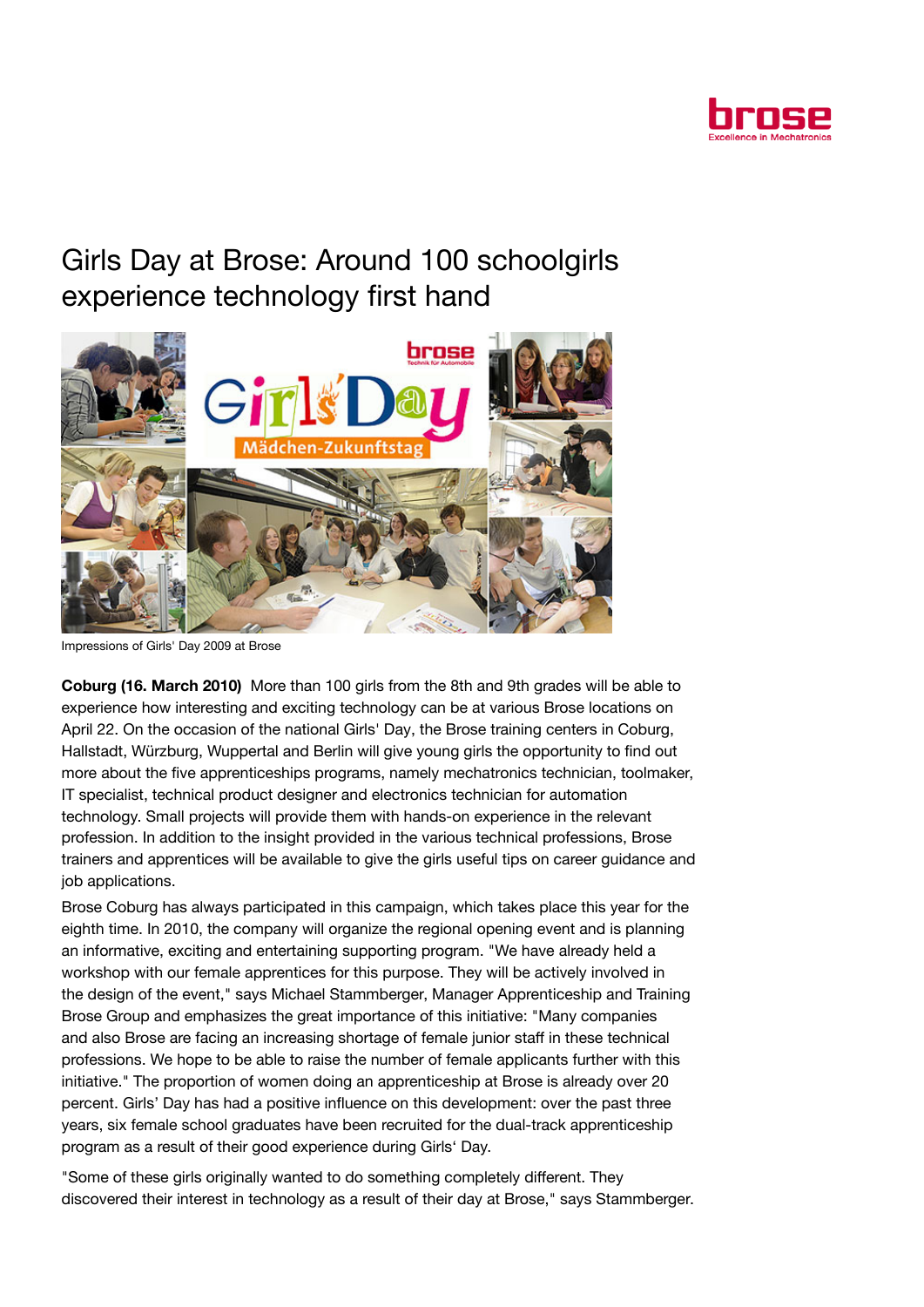

## Girls Day at Brose: Around 100 schoolgirls experience technology first hand



Impressions of Girls' Day 2009 at Brose

Coburg (16. March 2010) More than 100 girls from the 8th and 9th grades will be able to experience how interesting and exciting technology can be at various Brose locations on April 22. On the occasion of the national Girls' Day, the Brose training centers in Coburg, Hallstadt, Würzburg, Wuppertal and Berlin will give young girls the opportunity to find out more about the five apprenticeships programs, namely mechatronics technician, toolmaker, IT specialist, technical product designer and electronics technician for automation technology. Small projects will provide them with hands-on experience in the relevant profession. In addition to the insight provided in the various technical professions, Brose trainers and apprentices will be available to give the girls useful tips on career guidance and job applications.

Brose Coburg has always participated in this campaign, which takes place this year for the eighth time. In 2010, the company will organize the regional opening event and is planning an informative, exciting and entertaining supporting program. "We have already held a workshop with our female apprentices for this purpose. They will be actively involved in the design of the event," says Michael Stammberger, Manager Apprenticeship and Training Brose Group and emphasizes the great importance of this initiative: "Many companies and also Brose are facing an increasing shortage of female junior staff in these technical professions. We hope to be able to raise the number of female applicants further with this initiative." The proportion of women doing an apprenticeship at Brose is already over 20 percent. Girls' Day has had a positive influence on this development: over the past three years, six female school graduates have been recruited for the dual-track apprenticeship program as a result of their good experience during Girls' Day.

"Some of these girls originally wanted to do something completely different. They discovered their interest in technology as a result of their day at Brose," says Stammberger.